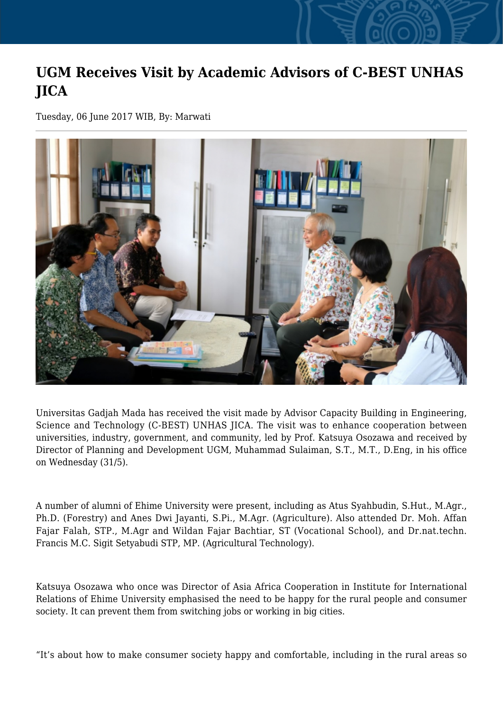## **UGM Receives Visit by Academic Advisors of C-BEST UNHAS JICA**

Tuesday, 06 June 2017 WIB, By: Marwati



Universitas Gadjah Mada has received the visit made by Advisor Capacity Building in Engineering, Science and Technology (C-BEST) UNHAS JICA. The visit was to enhance cooperation between universities, industry, government, and community, led by Prof. Katsuya Osozawa and received by Director of Planning and Development UGM, Muhammad Sulaiman, S.T., M.T., D.Eng, in his office on Wednesday (31/5).

A number of alumni of Ehime University were present, including as Atus Syahbudin, S.Hut., M.Agr., Ph.D. (Forestry) and Anes Dwi Jayanti, S.Pi., M.Agr. (Agriculture). Also attended Dr. Moh. Affan Fajar Falah, STP., M.Agr and Wildan Fajar Bachtiar, ST (Vocational School), and Dr.nat.techn. Francis M.C. Sigit Setyabudi STP, MP. (Agricultural Technology).

Katsuya Osozawa who once was Director of Asia Africa Cooperation in Institute for International Relations of Ehime University emphasised the need to be happy for the rural people and consumer society. It can prevent them from switching jobs or working in big cities.

"It's about how to make consumer society happy and comfortable, including in the rural areas so